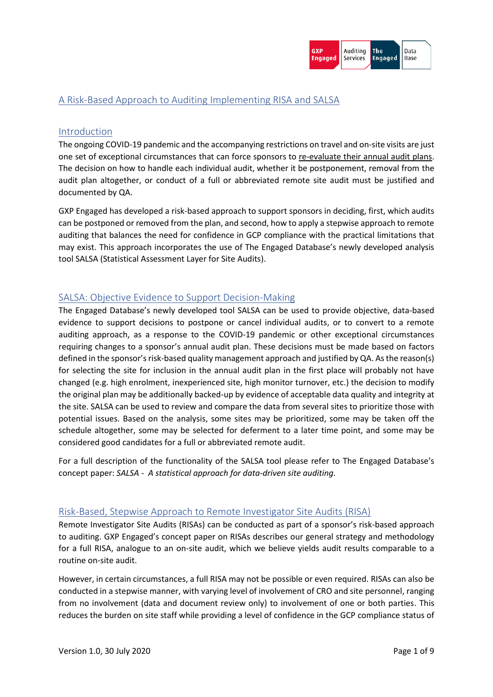# A Risk-Based Approach to Auditing Implementing RISA and SALSA

### Introduction

The ongoing COVID-19 pandemic and the accompanying restrictions on travel and on-site visits are just one set of exceptional circumstances that can force sponsors to re-evaluate their annual audit plans. The decision on how to handle each individual audit, whether it be postponement, removal from the audit plan altogether, or conduct of a full or abbreviated remote site audit must be justified and documented by QA.

GXP Engaged has developed a risk-based approach to support sponsors in deciding, first, which audits can be postponed or removed from the plan, and second, how to apply a stepwise approach to remote auditing that balances the need for confidence in GCP compliance with the practical limitations that may exist. This approach incorporates the use of The Engaged Database's newly developed analysis tool SALSA (Statistical Assessment Layer for Site Audits).

## SALSA: Objective Evidence to Support Decision-Making

The Engaged Database's newly developed tool SALSA can be used to provide objective, data-based evidence to support decisions to postpone or cancel individual audits, or to convert to a remote auditing approach, as a response to the COVID-19 pandemic or other exceptional circumstances requiring changes to a sponsor's annual audit plan. These decisions must be made based on factors defined in the sponsor's risk-based quality management approach and justified by QA. As the reason(s) for selecting the site for inclusion in the annual audit plan in the first place will probably not have changed (e.g. high enrolment, inexperienced site, high monitor turnover, etc.) the decision to modify the original plan may be additionally backed-up by evidence of acceptable data quality and integrity at the site. SALSA can be used to review and compare the data from several sites to prioritize those with potential issues. Based on the analysis, some sites may be prioritized, some may be taken off the schedule altogether, some may be selected for deferment to a later time point, and some may be considered good candidates for a full or abbreviated remote audit.

For a full description of the functionality of the SALSA tool please refer to The Engaged Database's concept paper: *SALSA - A statistical approach for data-driven site auditing.*

## Risk-Based, Stepwise Approach to Remote Investigator Site Audits (RISA)

Remote Investigator Site Audits (RISAs) can be conducted as part of a sponsor's risk-based approach to auditing. GXP Engaged's concept paper on RISAs describes our general strategy and methodology for a full RISA, analogue to an on-site audit, which we believe yields audit results comparable to a routine on-site audit.

However, in certain circumstances, a full RISA may not be possible or even required. RISAs can also be conducted in a stepwise manner, with varying level of involvement of CRO and site personnel, ranging from no involvement (data and document review only) to involvement of one or both parties. This reduces the burden on site staff while providing a level of confidence in the GCP compliance status of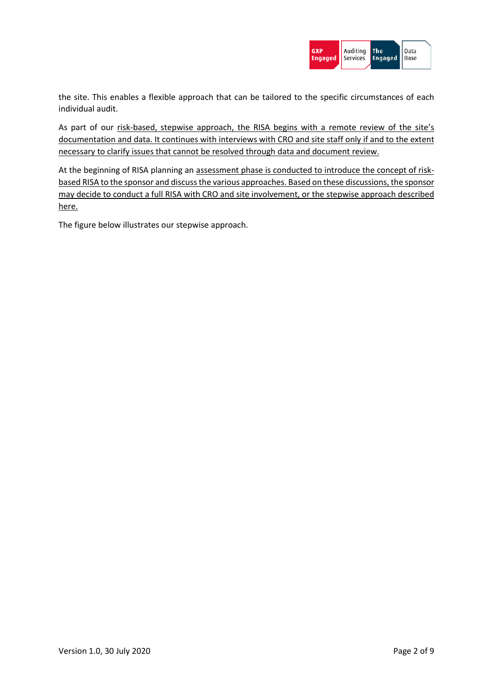

the site. This enables a flexible approach that can be tailored to the specific circumstances of each individual audit.

As part of our risk-based, stepwise approach, the RISA begins with a remote review of the site's documentation and data. It continues with interviews with CRO and site staff only if and to the extent necessary to clarify issues that cannot be resolved through data and document review.

At the beginning of RISA planning an assessment phase is conducted to introduce the concept of riskbased RISA to the sponsor and discuss the various approaches. Based on these discussions, the sponsor may decide to conduct a full RISA with CRO and site involvement, or the stepwise approach described here.

The figure below illustrates our stepwise approach.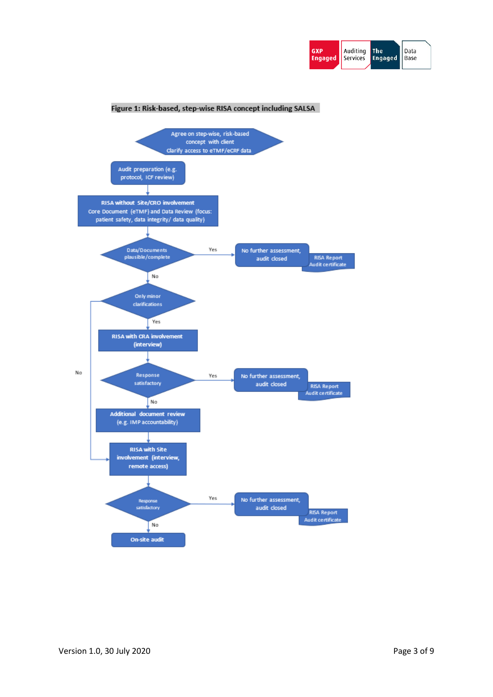

#### Figure 1: Risk-based, step-wise RISA concept including SALSA

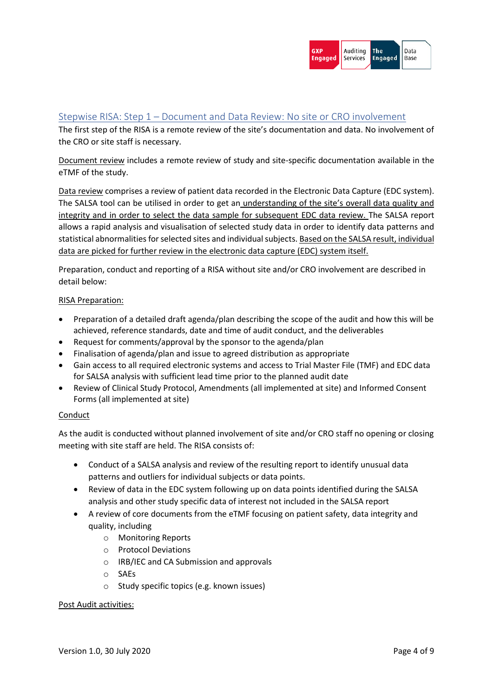### Stepwise RISA: Step 1 – Document and Data Review: No site or CRO involvement

The first step of the RISA is a remote review of the site's documentation and data. No involvement of the CRO or site staff is necessary.

Document review includes a remote review of study and site-specific documentation available in the eTMF of the study.

Data review comprises a review of patient data recorded in the Electronic Data Capture (EDC system). The SALSA tool can be utilised in order to get an understanding of the site's overall data quality and integrity and in order to select the data sample for subsequent EDC data review. The SALSA report allows a rapid analysis and visualisation of selected study data in order to identify data patterns and statistical abnormalities for selected sites and individual subjects. Based on the SALSA result, individual data are picked for further review in the electronic data capture (EDC) system itself.

Preparation, conduct and reporting of a RISA without site and/or CRO involvement are described in detail below:

#### RISA Preparation:

- Preparation of a detailed draft agenda/plan describing the scope of the audit and how this will be achieved, reference standards, date and time of audit conduct, and the deliverables
- Request for comments/approval by the sponsor to the agenda/plan
- Finalisation of agenda/plan and issue to agreed distribution as appropriate
- Gain access to all required electronic systems and access to Trial Master File (TMF) and EDC data for SALSA analysis with sufficient lead time prior to the planned audit date
- Review of Clinical Study Protocol, Amendments (all implemented at site) and Informed Consent Forms (all implemented at site)

### Conduct

As the audit is conducted without planned involvement of site and/or CRO staff no opening or closing meeting with site staff are held. The RISA consists of:

- Conduct of a SALSA analysis and review of the resulting report to identify unusual data patterns and outliers for individual subjects or data points.
- Review of data in the EDC system following up on data points identified during the SALSA analysis and other study specific data of interest not included in the SALSA report
- A review of core documents from the eTMF focusing on patient safety, data integrity and quality, including
	- o Monitoring Reports
	- o Protocol Deviations
	- o IRB/IEC and CA Submission and approvals
	- o SAEs
	- o Study specific topics (e.g. known issues)

### Post Audit activities: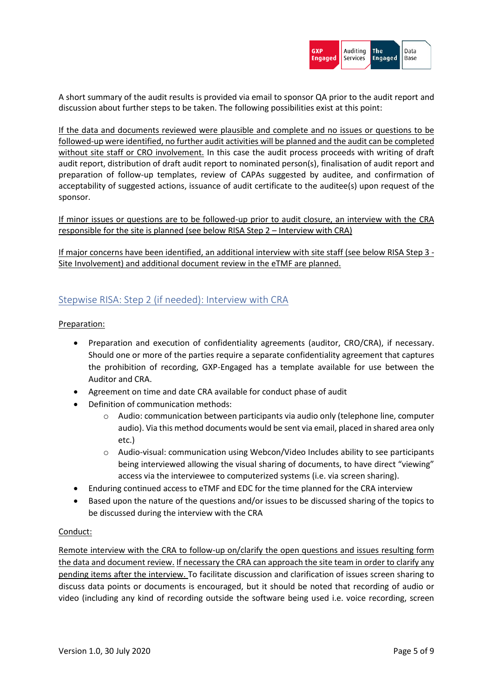

A short summary of the audit results is provided via email to sponsor QA prior to the audit report and discussion about further steps to be taken. The following possibilities exist at this point:

If the data and documents reviewed were plausible and complete and no issues or questions to be followed-up were identified, no further audit activities will be planned and the audit can be completed without site staff or CRO involvement. In this case the audit process proceeds with writing of draft audit report, distribution of draft audit report to nominated person(s), finalisation of audit report and preparation of follow-up templates, review of CAPAs suggested by auditee, and confirmation of acceptability of suggested actions, issuance of audit certificate to the auditee(s) upon request of the sponsor.

If minor issues or questions are to be followed-up prior to audit closure, an interview with the CRA responsible for the site is planned (see below RISA Step 2 – Interview with CRA)

If major concerns have been identified, an additional interview with site staff (see below RISA Step 3 - Site Involvement) and additional document review in the eTMF are planned.

## Stepwise RISA: Step 2 (if needed): Interview with CRA

### Preparation:

- Preparation and execution of confidentiality agreements (auditor, CRO/CRA), if necessary. Should one or more of the parties require a separate confidentiality agreement that captures the prohibition of recording, GXP-Engaged has a template available for use between the Auditor and CRA.
- Agreement on time and date CRA available for conduct phase of audit
- Definition of communication methods:
	- o Audio: communication between participants via audio only (telephone line, computer audio). Via this method documents would be sent via email, placed in shared area only etc.)
	- $\circ$  Audio-visual: communication using Webcon/Video Includes ability to see participants being interviewed allowing the visual sharing of documents, to have direct "viewing" access via the interviewee to computerized systems (i.e. via screen sharing).
- Enduring continued access to eTMF and EDC for the time planned for the CRA interview
- Based upon the nature of the questions and/or issues to be discussed sharing of the topics to be discussed during the interview with the CRA

### Conduct:

Remote interview with the CRA to follow-up on/clarify the open questions and issues resulting form the data and document review. If necessary the CRA can approach the site team in order to clarify any pending items after the interview. To facilitate discussion and clarification of issues screen sharing to discuss data points or documents is encouraged, but it should be noted that recording of audio or video (including any kind of recording outside the software being used i.e. voice recording, screen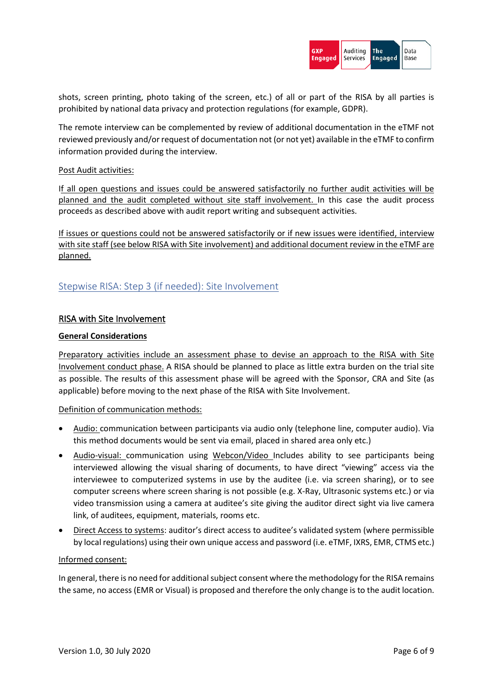

shots, screen printing, photo taking of the screen, etc.) of all or part of the RISA by all parties is prohibited by national data privacy and protection regulations (for example, GDPR).

The remote interview can be complemented by review of additional documentation in the eTMF not reviewed previously and/or request of documentation not (or not yet) available in the eTMF to confirm information provided during the interview.

#### Post Audit activities:

If all open questions and issues could be answered satisfactorily no further audit activities will be planned and the audit completed without site staff involvement. In this case the audit process proceeds as described above with audit report writing and subsequent activities.

If issues or questions could not be answered satisfactorily or if new issues were identified, interview with site staff (see below RISA with Site involvement) and additional document review in the eTMF are planned.

## Stepwise RISA: Step 3 (if needed): Site Involvement

### RISA with Site Involvement

#### **General Considerations**

Preparatory activities include an assessment phase to devise an approach to the RISA with Site Involvement conduct phase. A RISA should be planned to place as little extra burden on the trial site as possible. The results of this assessment phase will be agreed with the Sponsor, CRA and Site (as applicable) before moving to the next phase of the RISA with Site Involvement.

#### Definition of communication methods:

- Audio: communication between participants via audio only (telephone line, computer audio). Via this method documents would be sent via email, placed in shared area only etc.)
- Audio-visual: communication using Webcon/Video Includes ability to see participants being interviewed allowing the visual sharing of documents, to have direct "viewing" access via the interviewee to computerized systems in use by the auditee (i.e. via screen sharing), or to see computer screens where screen sharing is not possible (e.g. X-Ray, Ultrasonic systems etc.) or via video transmission using a camera at auditee's site giving the auditor direct sight via live camera link, of auditees, equipment, materials, rooms etc.
- Direct Access to systems: auditor's direct access to auditee's validated system (where permissible by local regulations) using their own unique access and password (i.e. eTMF, IXRS, EMR, CTMS etc.)

#### Informed consent:

In general, there is no need for additional subject consent where the methodology for the RISA remains the same, no access (EMR or Visual) is proposed and therefore the only change is to the audit location.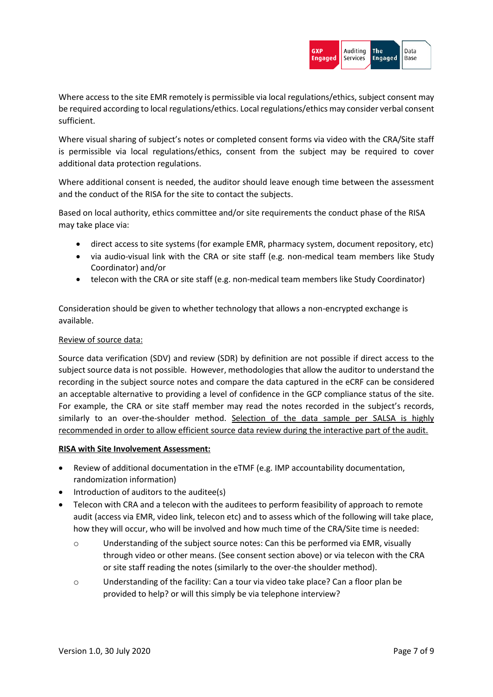

Where access to the site EMR remotely is permissible via local regulations/ethics, subject consent may be required according to local regulations/ethics. Local regulations/ethics may consider verbal consent sufficient.

Where visual sharing of subject's notes or completed consent forms via video with the CRA/Site staff is permissible via local regulations/ethics, consent from the subject may be required to cover additional data protection regulations.

Where additional consent is needed, the auditor should leave enough time between the assessment and the conduct of the RISA for the site to contact the subjects.

Based on local authority, ethics committee and/or site requirements the conduct phase of the RISA may take place via:

- direct access to site systems (for example EMR, pharmacy system, document repository, etc)
- via audio-visual link with the CRA or site staff (e.g. non-medical team members like Study Coordinator) and/or
- telecon with the CRA or site staff (e.g. non-medical team members like Study Coordinator)

Consideration should be given to whether technology that allows a non-encrypted exchange is available.

### Review of source data:

Source data verification (SDV) and review (SDR) by definition are not possible if direct access to the subject source data is not possible. However, methodologies that allow the auditor to understand the recording in the subject source notes and compare the data captured in the eCRF can be considered an acceptable alternative to providing a level of confidence in the GCP compliance status of the site. For example, the CRA or site staff member may read the notes recorded in the subject's records, similarly to an over-the-shoulder method. Selection of the data sample per SALSA is highly recommended in order to allow efficient source data review during the interactive part of the audit.

### **RISA with Site Involvement Assessment:**

- Review of additional documentation in the eTMF (e.g. IMP accountability documentation, randomization information)
- Introduction of auditors to the auditee(s)
- Telecon with CRA and a telecon with the auditees to perform feasibility of approach to remote audit (access via EMR, video link, telecon etc) and to assess which of the following will take place, how they will occur, who will be involved and how much time of the CRA/Site time is needed:
	- $\circ$  Understanding of the subject source notes: Can this be performed via EMR, visually through video or other means. (See consent section above) or via telecon with the CRA or site staff reading the notes (similarly to the over-the shoulder method).
	- o Understanding of the facility: Can a tour via video take place? Can a floor plan be provided to help? or will this simply be via telephone interview?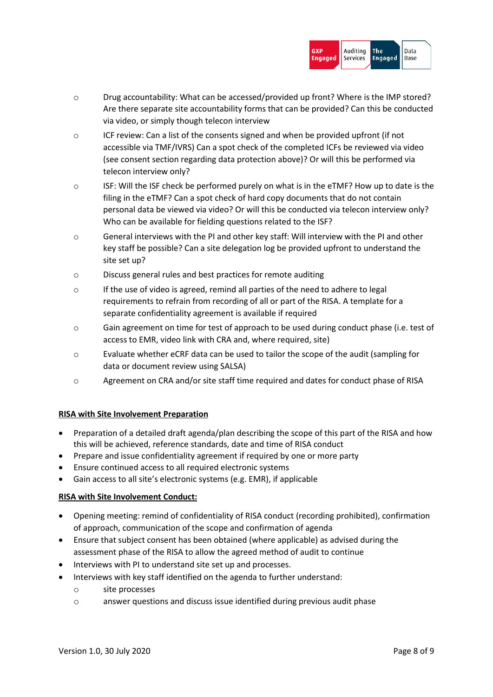

- o Drug accountability: What can be accessed/provided up front? Where is the IMP stored? Are there separate site accountability forms that can be provided? Can this be conducted via video, or simply though telecon interview
- o ICF review: Can a list of the consents signed and when be provided upfront (if not accessible via TMF/IVRS) Can a spot check of the completed ICFs be reviewed via video (see consent section regarding data protection above)? Or will this be performed via telecon interview only?
- $\circ$  ISF: Will the ISF check be performed purely on what is in the eTMF? How up to date is the filing in the eTMF? Can a spot check of hard copy documents that do not contain personal data be viewed via video? Or will this be conducted via telecon interview only? Who can be available for fielding questions related to the ISF?
- $\circ$  General interviews with the PI and other key staff: Will interview with the PI and other key staff be possible? Can a site delegation log be provided upfront to understand the site set up?
- o Discuss general rules and best practices for remote auditing
- o If the use of video is agreed, remind all parties of the need to adhere to legal requirements to refrain from recording of all or part of the RISA. A template for a separate confidentiality agreement is available if required
- o Gain agreement on time for test of approach to be used during conduct phase (i.e. test of access to EMR, video link with CRA and, where required, site)
- o Evaluate whether eCRF data can be used to tailor the scope of the audit (sampling for data or document review using SALSA)
- o Agreement on CRA and/or site staff time required and dates for conduct phase of RISA

### **RISA with Site Involvement Preparation**

- Preparation of a detailed draft agenda/plan describing the scope of this part of the RISA and how this will be achieved, reference standards, date and time of RISA conduct
- Prepare and issue confidentiality agreement if required by one or more party
- Ensure continued access to all required electronic systems
- Gain access to all site's electronic systems (e.g. EMR), if applicable

### **RISA with Site Involvement Conduct:**

- Opening meeting: remind of confidentiality of RISA conduct (recording prohibited), confirmation of approach, communication of the scope and confirmation of agenda
- Ensure that subject consent has been obtained (where applicable) as advised during the assessment phase of the RISA to allow the agreed method of audit to continue
- Interviews with PI to understand site set up and processes.
- Interviews with key staff identified on the agenda to further understand:
	- o site processes
	- o answer questions and discuss issue identified during previous audit phase